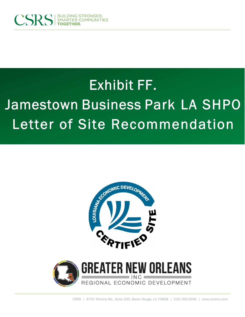

## Exhibit FF. Jamestown Business Park LA SHPO Letter of Site Recommendation